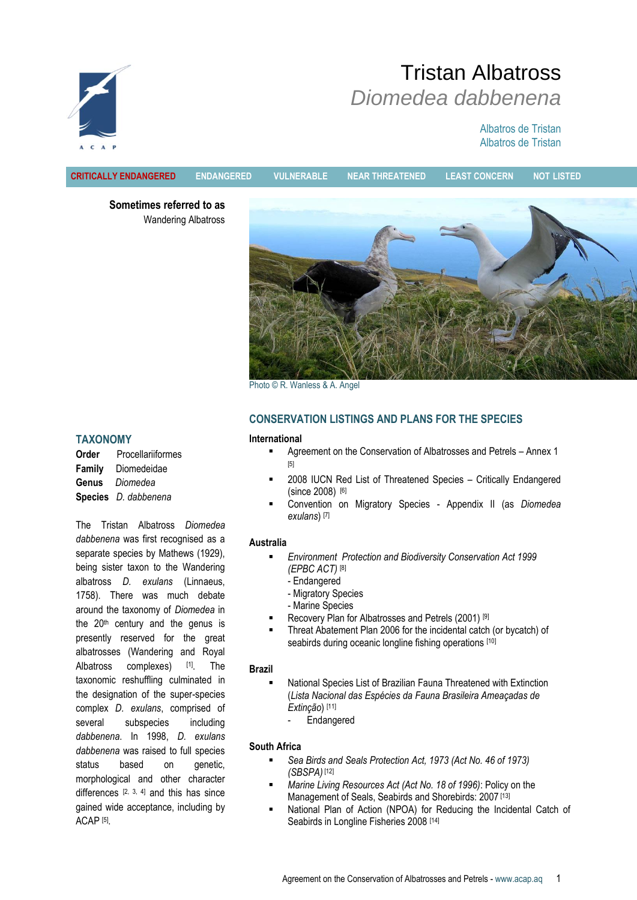# Tristan Albatross *Diomedea dabbenena*

# Albatros de Tristan Albatros de Tristan



**CRITICALLY ENDANGERED ENDANGERED VULNERABLE NEAR THREATENED LEAST CONCERN NOT LISTED**

**Sometimes referred to as** Wandering Albatross



Photo © R. Wanless & A. Angel

# **CONSERVATION LISTINGS AND PLANS FOR THE SPECIES**

#### **International**

- Agreement on the Conservation of Albatrosses and Petrels Annex 1 [5]
- 2008 IUCN Red List of Threatened Species Critically Endangered (since 2008) [6]
- Convention on Migratory Species Appendix II (as *Diomedea exulans*) [7]

# **Australia**

- *Environment Protection and Biodiversity Conservation Act 1999 (EPBC ACT)* [8]
	- Endangered
	- Migratory Species
	- Marine Species
- Recovery Plan for Albatrosses and Petrels (2001) [9]
- Threat Abatement Plan 2006 for the incidental catch (or bycatch) of seabirds during oceanic longline fishing operations [10]

# **Brazil**

- National Species List of Brazilian Fauna Threatened with Extinction (*Lista Nacional das Espécies da Fauna Brasileira Ameaçadas de Extinção*) [11]
	- **Endangered**

# **South Africa**

- *Sea Birds and Seals Protection Act, 1973 (Act No. 46 of 1973) (SBSPA)* [12]
- *Marine Living Resources Act (Act No. 18 of 1996)*: Policy on the Management of Seals, Seabirds and Shorebirds: 2007<sup>[13]</sup>
- National Plan of Action (NPOA) for Reducing the Incidental Catch of Seabirds in Longline Fisheries 2008 [14]

# **TAXONOMY**

**Order** Procellariiformes **Family** Diomedeidae **Genus** *Diomedea* **Species** *D. dabbenena*

The Tristan Albatross *Diomedea dabbenena* was first recognised as a separate species by Mathews (1929), being sister taxon to the Wandering albatross *D. exulans* (Linnaeus, 1758). There was much debate around the taxonomy of *Diomedea* in the  $20<sup>th</sup>$  century and the genus is presently reserved for the great albatrosses (Wandering and Royal Albatross complexes) [1]. The taxonomic reshuffling culminated in the designation of the super-species complex *D. exulans*, comprised of several subspecies including *dabbenena*. In 1998, *D. exulans dabbenena* was raised to full species status based on genetic, morphological and other character differences  $[2, 3, 4]$  and this has since gained wide acceptance, including by ACAP [5] .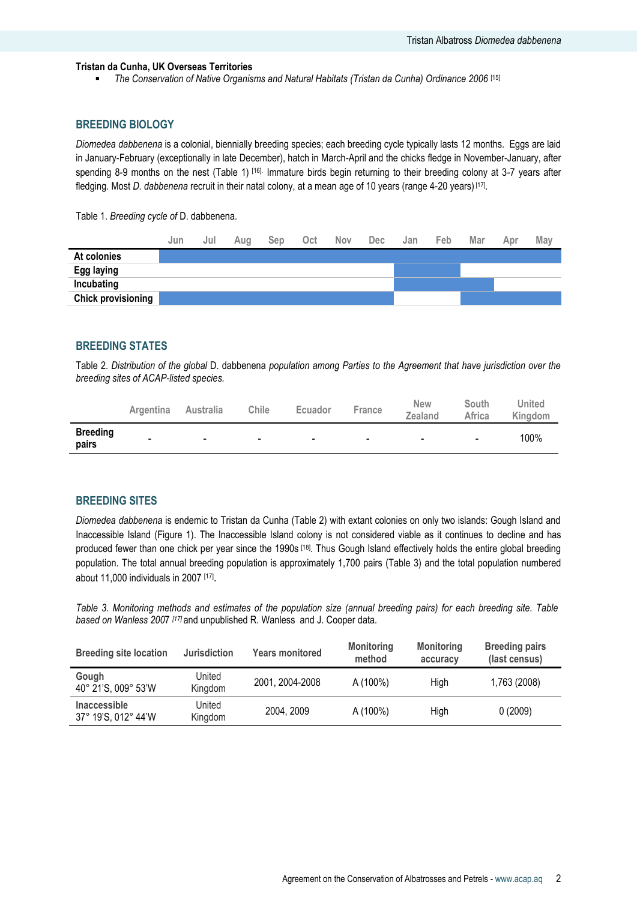#### **Tristan da Cunha, UK Overseas Territories**

*The Conservation of Native Organisms and Natural Habitats (Tristan da Cunha) Ordinance 2006* [15]

## **BREEDING BIOLOGY**

*Diomedea dabbenena* is a colonial, biennially breeding species; each breeding cycle typically lasts 12 months. Eggs are laid in January-February (exceptionally in late December), hatch in March-April and the chicks fledge in November-January, after spending 8-9 months on the nest (Table 1) <sup>[16].</sup> Immature birds begin returning to their breeding colony at 3-7 years after fledging. Most *D. dabbenena* recruit in their natal colony, at a mean age of 10 years (range 4-20 years) <sup>[17]</sup>.

Table 1. *Breeding cycle of* D. dabbenena.

|                           | Jun | Jul | Aug | Sep | Oct | <b>Nov</b> | <b>Dec</b> | Jan | Feb. | Mar | Apr | May |
|---------------------------|-----|-----|-----|-----|-----|------------|------------|-----|------|-----|-----|-----|
| At colonies               |     |     |     |     |     |            |            |     |      |     |     |     |
| Egg laying                |     |     |     |     |     |            |            |     |      |     |     |     |
| Incubating                |     |     |     |     |     |            |            |     |      |     |     |     |
| <b>Chick provisioning</b> |     |     |     |     |     |            |            |     |      |     |     |     |

# **BREEDING STATES**

Table 2. *Distribution of the global* D. dabbenena *population among Parties to the Agreement that have jurisdiction over the breeding sites of ACAP-listed species.* 

|                          | <b>Argentina</b> | <b>Australia</b>         | Chile          | <b>Ecuador</b>           | France                   | <b>New</b><br>Zealand    | South<br>Africa          | United<br>Kingdom |
|--------------------------|------------------|--------------------------|----------------|--------------------------|--------------------------|--------------------------|--------------------------|-------------------|
| <b>Breeding</b><br>pairs | $\blacksquare$   | $\overline{\phantom{0}}$ | $\blacksquare$ | $\overline{\phantom{a}}$ | $\overline{\phantom{0}}$ | $\overline{\phantom{a}}$ | $\overline{\phantom{0}}$ | 100%              |

#### **BREEDING SITES**

*Diomedea dabbenena* is endemic to Tristan da Cunha (Table 2) with extant colonies on only two islands: Gough Island and Inaccessible Island (Figure 1). The Inaccessible Island colony is not considered viable as it continues to decline and has produced fewer than one chick per year since the 1990s [18]. Thus Gough Island effectively holds the entire global breeding population. The total annual breeding population is approximately 1,700 pairs (Table 3) and the total population numbered about 11,000 individuals in 2007 [17].

*Table 3. [Monitoring methods](#page-9-0) and estimates of the population size (annual breeding pairs) for each breeding site. Table based on Wanless 200*7 *[17]* and unpublished R. Wanless and J. Cooper data*.* 

| <b>Breeding site location</b>              | <b>Jurisdiction</b> | <b>Years monitored</b> | <b>Monitoring</b><br>method | <b>Monitoring</b><br>accuracy | <b>Breeding pairs</b><br>(last census) |
|--------------------------------------------|---------------------|------------------------|-----------------------------|-------------------------------|----------------------------------------|
| Gough<br>40° 21'S, 009° 53'W               | United<br>Kingdom   | 2001, 2004-2008        | A (100%)                    | Hiah                          | 1,763 (2008)                           |
| <b>Inaccessible</b><br>37° 19'S, 012° 44'W | United<br>Kingdom   | 2004, 2009             | A (100%)                    | High                          | 0(2009)                                |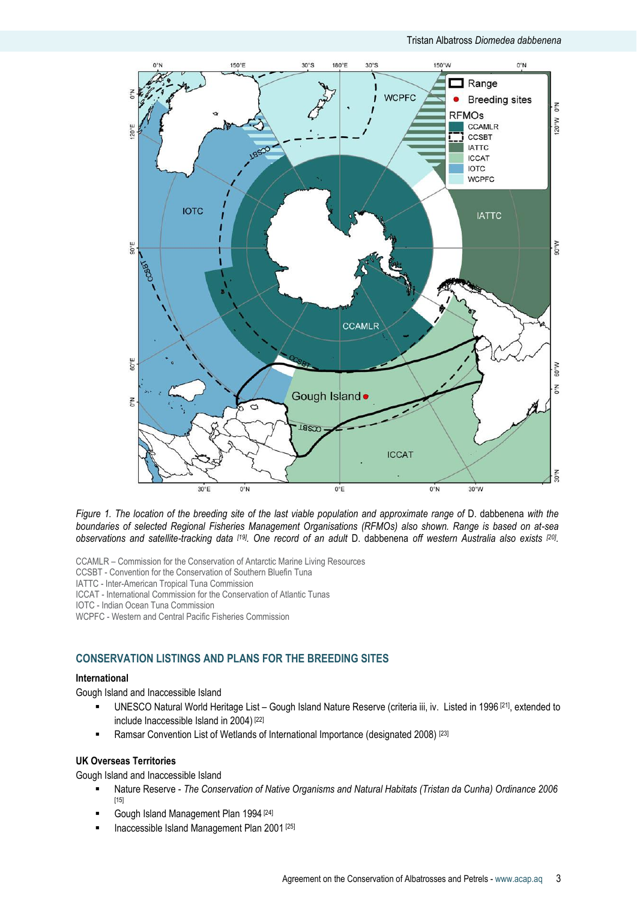

*Figure 1. The location of the breeding site of the last viable population and approximate range of* D. dabbenena *with the boundaries of selected Regional Fisheries Management Organisations (RFMOs) also shown. Range is based on at-sea observations and satellite-tracking data [19] . One record of an adult* D. dabbenena *off western Australia also exists [20] .*

CCAMLR – Commission for the Conservation of Antarctic Marine Living Resources

CCSBT - Convention for the Conservation of Southern Bluefin Tuna

IATTC - Inter-American Tropical Tuna Commission

ICCAT - International Commission for the Conservation of Atlantic Tunas

IOTC - Indian Ocean Tuna Commission

WCPFC - Western and Central Pacific Fisheries Commission

# **CONSERVATION LISTINGS AND PLANS FOR THE BREEDING SITES**

# **International**

Gough Island and Inaccessible Island

- UNESCO Natural World Heritage List Gough Island Nature Reserve (criteria iii, iv. Listed in 1996 [21], extended to include Inaccessible Island in 2004) [22]
- **EXECT** Ramsar Convention List of Wetlands of International Importance (designated 2008)<sup>[23]</sup>

#### **UK Overseas Territories**

Gough Island and Inaccessible Island

- Nature Reserve *The Conservation of Native Organisms and Natural Habitats (Tristan da Cunha) Ordinance 2006* [15]
- Gough Island Management Plan 1994<sup>[24]</sup>
- Inaccessible Island Management Plan 2001 [25]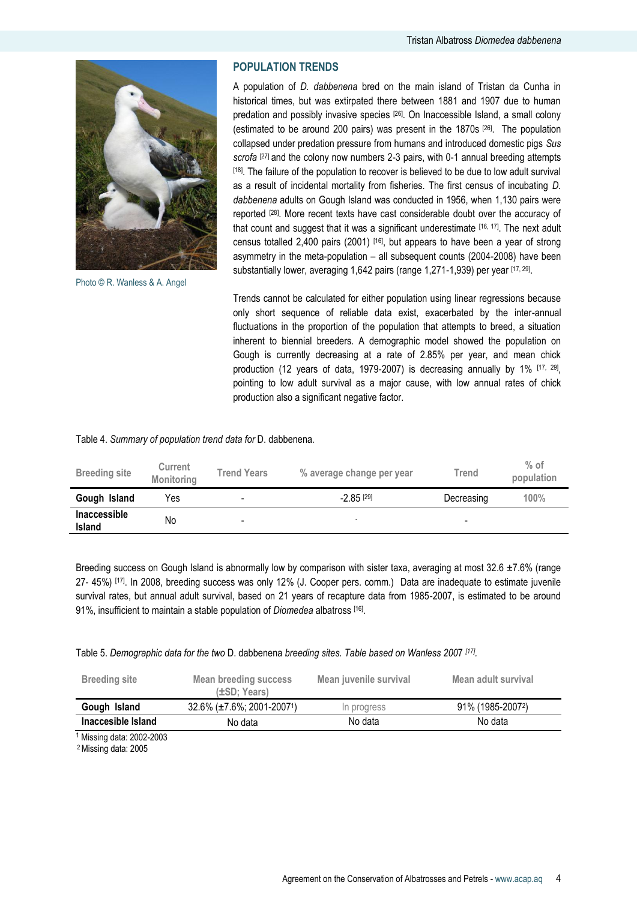

Photo © R. Wanless & A. Angel

# **POPULATION TRENDS**

A population of *D. dabbenena* bred on the main island of Tristan da Cunha in historical times, but was extirpated there between 1881 and 1907 due to human predation and possibly invasive species [26]. On Inaccessible Island, a small colony (estimated to be around 200 pairs) was present in the 1870s [26]. The population collapsed under predation pressure from humans and introduced domestic pigs *Sus scrofa* [27] and the colony now numbers 2-3 pairs, with 0-1 annual breeding attempts [18]. The failure of the population to recover is believed to be due to low adult survival as a result of incidental mortality from fisheries. The first census of incubating *D. dabbenena* adults on Gough Island was conducted in 1956, when 1,130 pairs were reported [28]. More recent texts have cast considerable doubt over the accuracy of that count and suggest that it was a significant underestimate [16, 17]. The next adult census totalled 2,400 pairs (2001) [16], but appears to have been a year of strong asymmetry in the meta-population – all subsequent counts (2004-2008) have been substantially lower, averaging 1,642 pairs (range 1,271-1,939) per year [17, 29].

Trends cannot be calculated for either population using linear regressions because only short sequence of reliable data exist, exacerbated by the inter-annual fluctuations in the proportion of the population that attempts to breed, a situation inherent to biennial breeders. A demographic model showed the population on Gough is currently decreasing at a rate of 2.85% per year, and mean chick production (12 years of data, 1979-2007) is decreasing annually by 1% [17, 29] , pointing to low adult survival as a major cause, with low annual rates of chick production also a significant negative factor.

#### Table 4. *Summary of population trend data for* D. dabbenena*.*

| <b>Breeding site</b>          | <b>Current</b><br>Monitoring | <b>Trend Years</b>       | % average change per year | Trend      | $%$ of<br>population |
|-------------------------------|------------------------------|--------------------------|---------------------------|------------|----------------------|
| Gough Island                  | Yes                          | $\overline{\phantom{0}}$ | $-2.85$ <sup>[29]</sup>   | Decreasing | 100%                 |
| Inaccessible<br><b>Island</b> | No                           | $\overline{\phantom{0}}$ |                           | -          |                      |

Breeding success on Gough Island is abnormally low by comparison with sister taxa, averaging at most 32.6 ±7.6% (range 27- 45%) [17]. In 2008, breeding success was only 12% (J. Cooper pers. comm.) Data are inadequate to estimate juvenile survival rates, but annual adult survival, based on 21 years of recapture data from 1985-2007, is estimated to be around 91%, insufficient to maintain a stable population of *Diomedea* albatross [16] .

Table 5. *Demographic data for the two* D. dabbenena *breeding sites. Table based on Wanless 200*7 *[17] .*

| <b>Breeding site</b>      | Mean breeding success<br>$(\pm SD; Years)$ | Mean juvenile survival | Mean adult survival |
|---------------------------|--------------------------------------------|------------------------|---------------------|
| Gough Island              | $32.6\%$ (±7.6%; 2001-2007 <sup>1</sup> )  | In progress            | 91% (1985-20072)    |
| Inaccesible Island        | No data                                    | No data                | No data             |
| 1 Micrina data: 2002 2003 |                                            |                        |                     |

<sup>1</sup> Missing data: 2002-2003

2 Missing data: 2005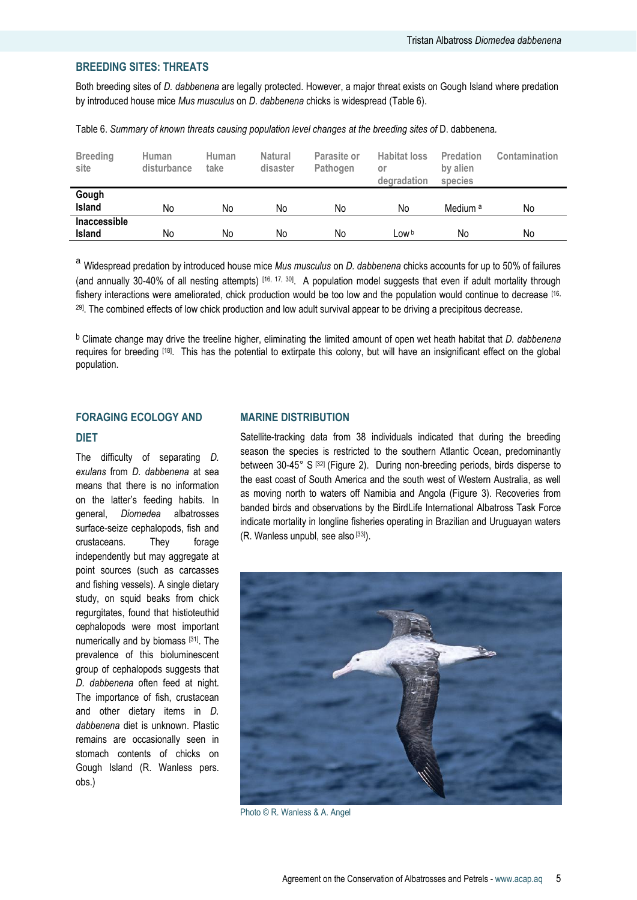# **BREEDING SITES: THREATS**

Both breeding sites of *D. dabbenena* are legally protected. However, a major threat exists on Gough Island where predation by introduced house mice *Mus musculus* on *D. dabbenena* chicks is widespread (Table 6).

Table 6. *Summary of known threats causing population level changes at the breeding sites of* D. dabbenena*.*

| <b>Breeding</b><br>site       | Human<br>disturbance | Human<br>take | <b>Natural</b><br>disaster | Parasite or<br>Pathogen | <b>Habitat loss</b><br>or<br>degradation | Predation<br>by alien<br>species | Contamination |
|-------------------------------|----------------------|---------------|----------------------------|-------------------------|------------------------------------------|----------------------------------|---------------|
| Gough<br>Island               | No                   | No            | No                         | No                      | No                                       | Medium <sup>a</sup>              | No            |
| <b>Inaccessible</b><br>Island | No                   | No            | No                         | No                      | LOW <sup>b</sup>                         | No                               | No            |

<sup>a</sup> Widespread predation by introduced house mice *Mus musculus* on *D. dabbenena* chicks accounts for up to 50% of failures (and annually 30-40% of all nesting attempts) [16, 17, 30]. A population model suggests that even if adult mortality through fishery interactions were ameliorated, chick production would be too low and the population would continue to decrease [16, 29]. The combined effects of low chick production and low adult survival appear to be driving a precipitous decrease.

b Climate change may drive the treeline higher, eliminating the limited amount of open wet heath habitat that *D. dabbenena*  requires for breeding [18]. This has the potential to extirpate this colony, but will have an insignificant effect on the global population.

# **FORAGING ECOLOGY AND DIET**

The difficulty of separating *D. exulans* from *D. dabbenena* at sea means that there is no information on the latter"s feeding habits. In general, *Diomedea* albatrosses surface-seize cephalopods, fish and crustaceans. They forage independently but may aggregate at point sources (such as carcasses and fishing vessels). A single dietary study, on squid beaks from chick regurgitates, found that histioteuthid cephalopods were most important numerically and by biomass [31]. The prevalence of this bioluminescent group of cephalopods suggests that *D. dabbenena* often feed at night. The importance of fish, crustacean and other dietary items in *D. dabbenena* diet is unknown. Plastic remains are occasionally seen in stomach contents of chicks on Gough Island (R. Wanless pers. obs.)

#### **MARINE DISTRIBUTION**

Satellite-tracking data from 38 individuals indicated that during the breeding season the species is restricted to the southern Atlantic Ocean, predominantly between 30-45° S [32] (Figure 2). During non-breeding periods, birds disperse to the east coast of South America and the south west of Western Australia, as well as moving north to waters off Namibia and Angola (Figure 3). Recoveries from banded birds and observations by the BirdLife International Albatross Task Force indicate mortality in longline fisheries operating in Brazilian and Uruguayan waters (R. Wanless unpubl, see also [33]).



Photo © R. Wanless & A. Angel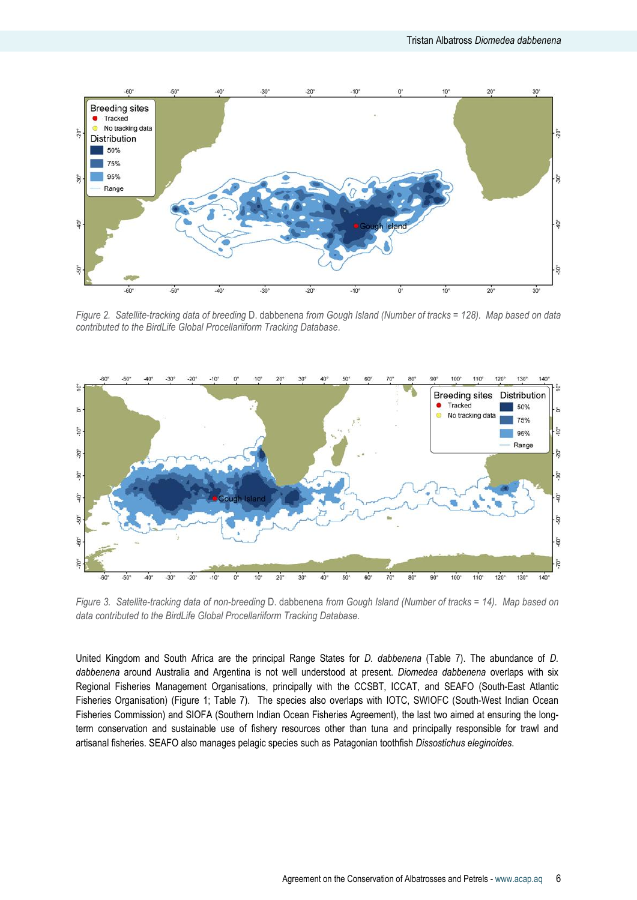

*Figure 2. Satellite-tracking data of breeding* D. dabbenena *from Gough Island (Number of tracks = 128). Map based on data contributed to the BirdLife Global Procellariiform Tracking Database.*



*Figure 3. Satellite-tracking data of non-breeding* D. dabbenena *from Gough Island (Number of tracks = 14). Map based on data contributed to the BirdLife Global Procellariiform Tracking Database.*

United Kingdom and South Africa are the principal Range States for *D. dabbenena* (Table 7). The abundance of *D. dabbenena* around Australia and Argentina is not well understood at present. *Diomedea dabbenena* overlaps with six Regional Fisheries Management Organisations, principally with the CCSBT, ICCAT, and SEAFO (South-East Atlantic Fisheries Organisation) (Figure 1; Table 7). The species also overlaps with IOTC, SWIOFC (South-West Indian Ocean Fisheries Commission) and SIOFA (Southern Indian Ocean Fisheries Agreement), the last two aimed at ensuring the longterm conservation and sustainable use of fishery resources other than tuna and principally responsible for trawl and artisanal fisheries. SEAFO also manages pelagic species such as Patagonian toothfish *Dissostichus eleginoides*.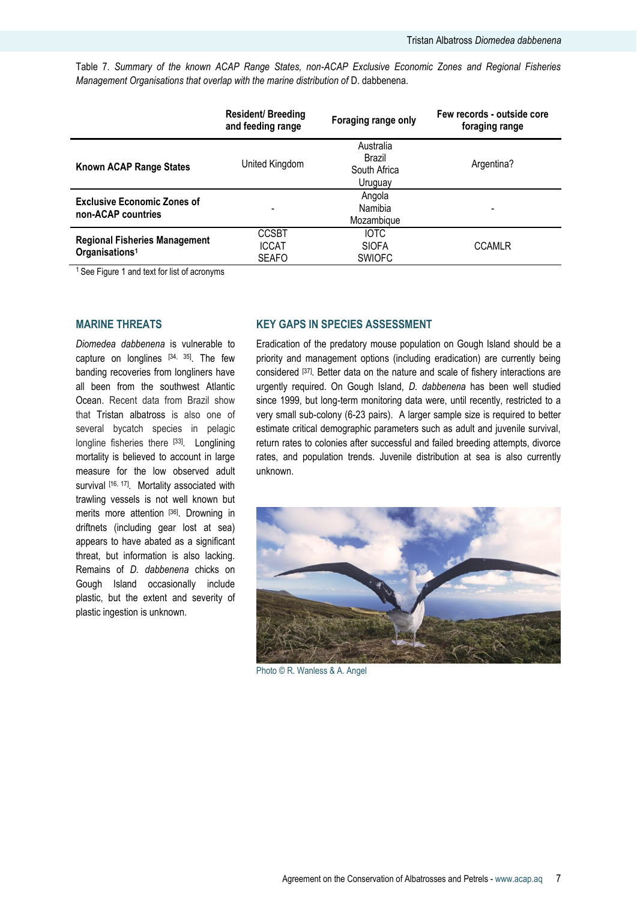Table 7. *Summary of the known ACAP Range States, non-ACAP Exclusive Economic Zones and Regional Fisheries Management Organisations that overlap with the marine distribution of* D. dabbenena*.* 

|                                                                    | <b>Resident/ Breeding</b><br>and feeding range | Foraging range only                            | Few records - outside core<br>foraging range |
|--------------------------------------------------------------------|------------------------------------------------|------------------------------------------------|----------------------------------------------|
| <b>Known ACAP Range States</b>                                     | United Kingdom                                 | Australia<br>Brazil<br>South Africa<br>Uruguay | Argentina?                                   |
| <b>Exclusive Economic Zones of</b><br>non-ACAP countries           |                                                | Angola<br>Namibia<br>Mozambique                |                                              |
| <b>Regional Fisheries Management</b><br>Organisations <sup>1</sup> | <b>CCSBT</b><br><b>ICCAT</b><br><b>SEAFO</b>   | <b>IOTC</b><br><b>SIOFA</b><br><b>SWIOFC</b>   | <b>CCAMLR</b>                                |

<sup>1</sup> See Figure 1 and text for list of acronyms

#### **MARINE THREATS**

*Diomedea dabbenena* is vulnerable to capture on longlines [34, 35]. The few banding recoveries from longliners have all been from the southwest Atlantic Ocean. Recent data from Brazil show that Tristan albatross is also one of several bycatch species in pelagic longline fisheries there [33]. Longlining mortality is believed to account in large measure for the low observed adult survival [16, 17]. Mortality associated with trawling vessels is not well known but merits more attention [36]. Drowning in driftnets (including gear lost at sea) appears to have abated as a significant threat, but information is also lacking. Remains of *D. dabbenena* chicks on Gough Island occasionally include plastic, but the extent and severity of plastic ingestion is unknown.

# **KEY GAPS IN SPECIES ASSESSMENT**

Eradication of the predatory mouse population on Gough Island should be a priority and management options (including eradication) are currently being considered [37] . Better data on the nature and scale of fishery interactions are urgently required. On Gough Island, *D. dabbenena* has been well studied since 1999, but long-term monitoring data were, until recently, restricted to a very small sub-colony (6-23 pairs). A larger sample size is required to better estimate critical demographic parameters such as adult and juvenile survival, return rates to colonies after successful and failed breeding attempts, divorce rates, and population trends. Juvenile distribution at sea is also currently unknown.



Photo © R. Wanless & A. Angel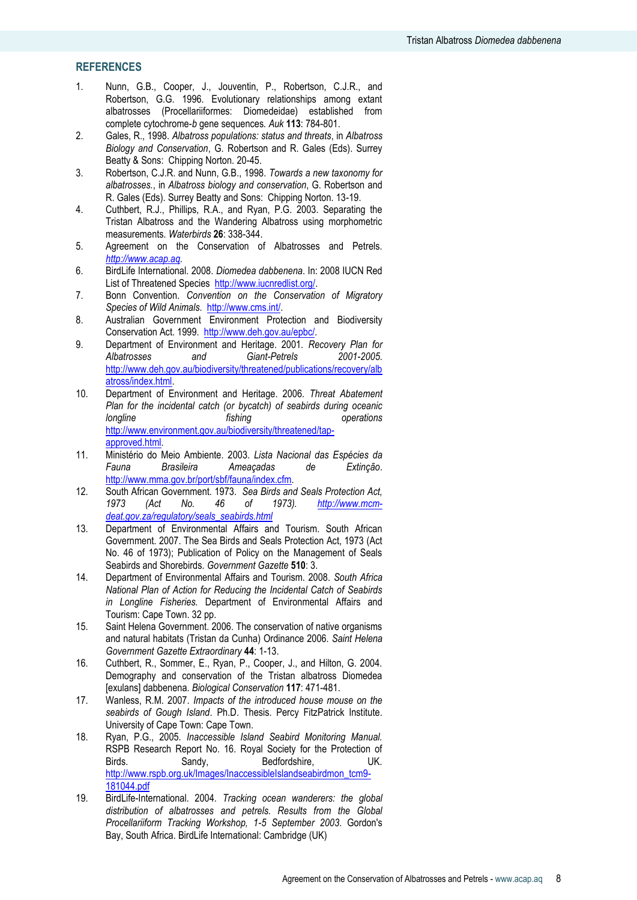# **REFERENCES**

- 1. Nunn, G.B., Cooper, J., Jouventin, P., Robertson, C.J.R., and Robertson, G.G. 1996. Evolutionary relationships among extant albatrosses (Procellariiformes: Diomedeidae) established from complete cytochrome-*b* gene sequences*. Auk* **113**: 784-801.
- 2. Gales, R., 1998. *Albatross populations: status and threats*, in *Albatross Biology and Conservation*, G. Robertson and R. Gales (Eds). Surrey Beatty & Sons: Chipping Norton. 20-45.
- 3. Robertson, C.J.R. and Nunn, G.B., 1998. *Towards a new taxonomy for albatrosses.*, in *Albatross biology and conservation*, G. Robertson and R. Gales (Eds). Surrey Beatty and Sons: Chipping Norton. 13-19.
- 4. Cuthbert, R.J., Phillips, R.A., and Ryan, P.G. 2003. Separating the Tristan Albatross and the Wandering Albatross using morphometric measurements*. Waterbirds* **26**: 338-344.
- 5. Agreement on the Conservation of Albatrosses and Petrels. *[http://www.acap.aq.](http://www.acap.aq/)*
- 6. BirdLife International. 2008. *Diomedea dabbenena*. In: 2008 IUCN Red List of Threatened Species [http://www.iucnredlist.org/.](http://www.iucnredlist.org/)
- 7. Bonn Convention. *Convention on the Conservation of Migratory Species of Wild Animals*. [http://www.cms.int/.](http://www.cms.int/)
- 8. Australian Government Environment Protection and Biodiversity Conservation Act. 1999. [http://www.deh.gov.au/epbc/.](http://www.deh.gov.au/epbc/)
- 9. Department of Environment and Heritage. 2001. *Recovery Plan for Albatrosses and Giant-Petrels 2001-2005*. [http://www.deh.gov.au/biodiversity/threatened/publications/recovery/alb](http://www.deh.gov.au/biodiversity/threatened/publications/recovery/albatross/index.html) [atross/index.html.](http://www.deh.gov.au/biodiversity/threatened/publications/recovery/albatross/index.html)
- 10. Department of Environment and Heritage. 2006. *Threat Abatement Plan for the incidental catch (or bycatch) of seabirds during oceanic longline fishing operations*  [http://www.environment.gov.au/biodiversity/threatened/tap](http://www.environment.gov.au/biodiversity/threatened/tap-approved.html)[approved.html.](http://www.environment.gov.au/biodiversity/threatened/tap-approved.html)
- 11. Ministério do Meio Ambiente. 2003. *Lista Nacional das Espécies da Fauna Brasileira Ameaçadas de Extinção*. [http://www.mma.gov.br/port/sbf/fauna/index.cfm.](http://www.mma.gov.br/port/sbf/fauna/index.cfm)
- 12. South African Government. 1973. *Sea Birds and Seals Protection Act, 1973 (Act No. 46 of 1973). [http://www.mcm](http://www.mcm-deat.gov.za/regulatory/seals_seabirds.html)[deat.gov.za/regulatory/seals\\_seabirds.html](http://www.mcm-deat.gov.za/regulatory/seals_seabirds.html)*
- 13. Department of Environmental Affairs and Tourism. South African Government. 2007. The Sea Birds and Seals Protection Act, 1973 (Act No. 46 of 1973); Publication of Policy on the Management of Seals Seabirds and Shorebirds*. Government Gazette* **510**: 3.
- 14. Department of Environmental Affairs and Tourism. 2008. *South Africa National Plan of Action for Reducing the Incidental Catch of Seabirds in Longline Fisheries.* Department of Environmental Affairs and Tourism: Cape Town. 32 pp.
- 15. Saint Helena Government. 2006. The conservation of native organisms and natural habitats (Tristan da Cunha) Ordinance 2006*. Saint Helena Government Gazette Extraordinary* **44**: 1-13.
- 16. Cuthbert, R., Sommer, E., Ryan, P., Cooper, J., and Hilton, G. 2004. Demography and conservation of the Tristan albatross Diomedea [exulans] dabbenena*. Biological Conservation* **117**: 471-481.
- 17. Wanless, R.M. 2007. *Impacts of the introduced house mouse on the seabirds of Gough Island*. Ph.D. Thesis. Percy FitzPatrick Institute. University of Cape Town: Cape Town.
- 18. Ryan, P.G., 2005. *Inaccessible Island Seabird Monitoring Manual.* RSPB Research Report No. 16. Royal Society for the Protection of Birds. Sandy, Bedfordshire, UK. [http://www.rspb.org.uk/Images/InaccessibleIslandseabirdmon\\_tcm9-](http://www.rspb.org.uk/Images/InaccessibleIslandseabirdmon_tcm9-181044.pdf) [181044.pdf](http://www.rspb.org.uk/Images/InaccessibleIslandseabirdmon_tcm9-181044.pdf)
- 19. BirdLife-International. 2004. *Tracking ocean wanderers: the global distribution of albatrosses and petrels. Results from the Global Procellariiform Tracking Workshop, 1-5 September 2003*. Gordon's Bay, South Africa. BirdLife International: Cambridge (UK)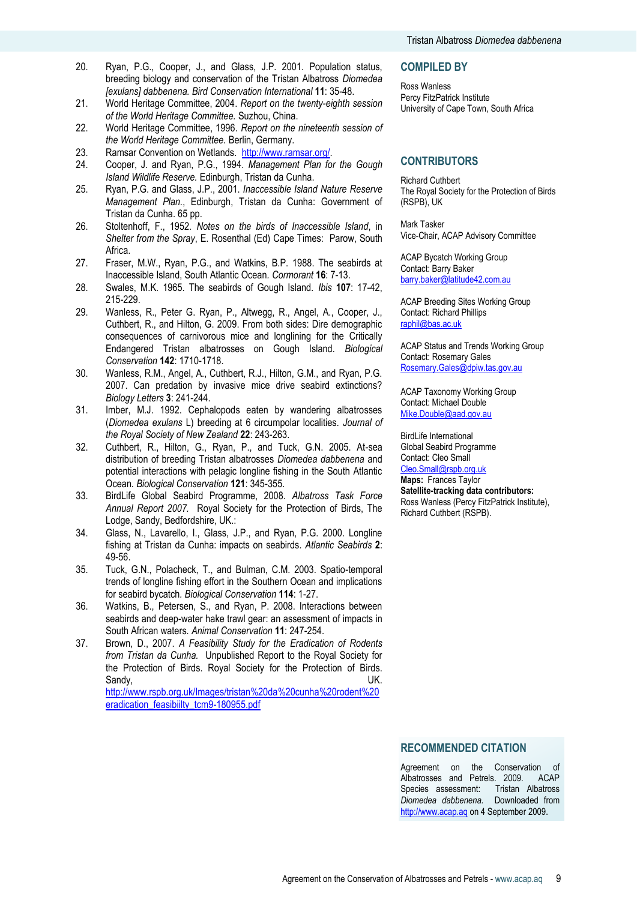- 20. Ryan, P.G., Cooper, J., and Glass, J.P. 2001. Population status, breeding biology and conservation of the Tristan Albatross *Diomedea [exulans] dabbenena. Bird Conservation International* **11**: 35-48.
- 21. World Heritage Committee, 2004. *Report on the twenty-eighth session of the World Heritage Committee.* Suzhou, China.
- 22. World Heritage Committee, 1996. *Report on the nineteenth session of the World Heritage Committee.* Berlin, Germany.
- 23. Ramsar Convention on Wetlands. [http://www.ramsar.org/.](http://www.ramsar.org/)
- 24. Cooper, J. and Ryan, P.G., 1994. *Management Plan for the Gough Island Wildlife Reserve.* Edinburgh, Tristan da Cunha.
- 25. Ryan, P.G. and Glass, J.P., 2001. *Inaccessible Island Nature Reserve Management Plan.*, Edinburgh, Tristan da Cunha: Government of Tristan da Cunha. 65 pp.
- 26. Stoltenhoff, F., 1952. *Notes on the birds of Inaccessible Island*, in *Shelter from the Spray*, E. Rosenthal (Ed) Cape Times: Parow, South Africa.
- 27. Fraser, M.W., Ryan, P.G., and Watkins, B.P. 1988. The seabirds at Inaccessible Island, South Atlantic Ocean*. Cormorant* **16**: 7-13.
- 28. Swales, M.K. 1965. The seabirds of Gough Island*. Ibis* **107**: 17-42, 215-229.
- 29. Wanless, R., Peter G. Ryan, P., Altwegg, R., Angel, A., Cooper, J., Cuthbert, R., and Hilton, G. 2009. From both sides: Dire demographic consequences of carnivorous mice and longlining for the Critically Endangered Tristan albatrosses on Gough Island*. Biological Conservation* **142**: 1710-1718.
- 30. Wanless, R.M., Angel, A., Cuthbert, R.J., Hilton, G.M., and Ryan, P.G. 2007. Can predation by invasive mice drive seabird extinctions? *Biology Letters* **3**: 241-244.
- 31. Imber, M.J. 1992. Cephalopods eaten by wandering albatrosses (*Diomedea exulans* L) breeding at 6 circumpolar localities*. Journal of the Royal Society of New Zealand* **22**: 243-263.
- 32. Cuthbert, R., Hilton, G., Ryan, P., and Tuck, G.N. 2005. At-sea distribution of breeding Tristan albatrosses *Diomedea dabbenena* and potential interactions with pelagic longline fishing in the South Atlantic Ocean*. Biological Conservation* **121**: 345-355.
- 33. BirdLife Global Seabird Programme, 2008. *Albatross Task Force Annual Report 2007.* Royal Society for the Protection of Birds, The Lodge, Sandy, Bedfordshire, UK.:
- 34. Glass, N., Lavarello, I., Glass, J.P., and Ryan, P.G. 2000. Longline fishing at Tristan da Cunha: impacts on seabirds*. Atlantic Seabirds* **2**: 49-56.
- 35. Tuck, G.N., Polacheck, T., and Bulman, C.M. 2003. Spatio-temporal trends of longline fishing effort in the Southern Ocean and implications for seabird bycatch*. Biological Conservation* **114**: 1-27.
- 36. Watkins, B., Petersen, S., and Ryan, P. 2008. Interactions between seabirds and deep-water hake trawl gear: an assessment of impacts in South African waters*. Animal Conservation* **11**: 247-254.
- 37. Brown, D., 2007. *A Feasibility Study for the Eradication of Rodents from Tristan da Cunha.* Unpublished Report to the Royal Society for the Protection of Birds. Royal Society for the Protection of Birds. Sandy, **Example 20** UK. [http://www.rspb.org.uk/Images/tristan%20da%20cunha%20rodent%20](http://www.rspb.org.uk/Images/tristan%20da%20cunha%20rodent%20eradication_feasibiilty_tcm9-180955.pdf)

[eradication\\_feasibiilty\\_tcm9-180955.pdf](http://www.rspb.org.uk/Images/tristan%20da%20cunha%20rodent%20eradication_feasibiilty_tcm9-180955.pdf)

#### **COMPILED BY**

Ross Wanless Percy FitzPatrick Institute University of Cape Town, South Africa

# **CONTRIBUTORS**

Richard Cuthbert The Royal Society for the Protection of Birds (RSPB), UK

Mark Tasker Vice-Chair, ACAP Advisory Committee

ACAP Bycatch Working Group Contact: Barry Baker [barry.baker@latitude42.com.au](mailto:barry.baker@latitude42.com.au)

ACAP Breeding Sites Working Group Contact: Richard Phillips [raphil@bas.ac.uk](mailto:raphil@bas.ac.uk)

ACAP Status and Trends Working Group Contact: Rosemary Gales [Rosemary.Gales@dpiw.tas.gov.au](mailto:Rosemary.Gales@dpiw.tas.gov.au)

ACAP Taxonomy Working Group Contact: Michael Double [Mike.Double@aad.gov.au](mailto:Mike.Double@aad.gov.au)

BirdLife International Global Seabird Programme Contact: Cleo Small [Cleo.Small@rspb.org.uk](mailto:Cleo.Small@rspb.org.uk)

**Maps:** Frances Taylor **Satellite-tracking data contributors:** Ross Wanless (Percy FitzPatrick Institute), Richard Cuthbert (RSPB).

#### **RECOMMENDED CITATION**

Agreement on the Conservation of Albatrosses and Petrels. 2009. ACAP Species assessment: Tristan Albatross *Diomedea dabbenena.* Downloaded from [http://www.acap.aq](http://www.acap.aq/) on 4 September 2009.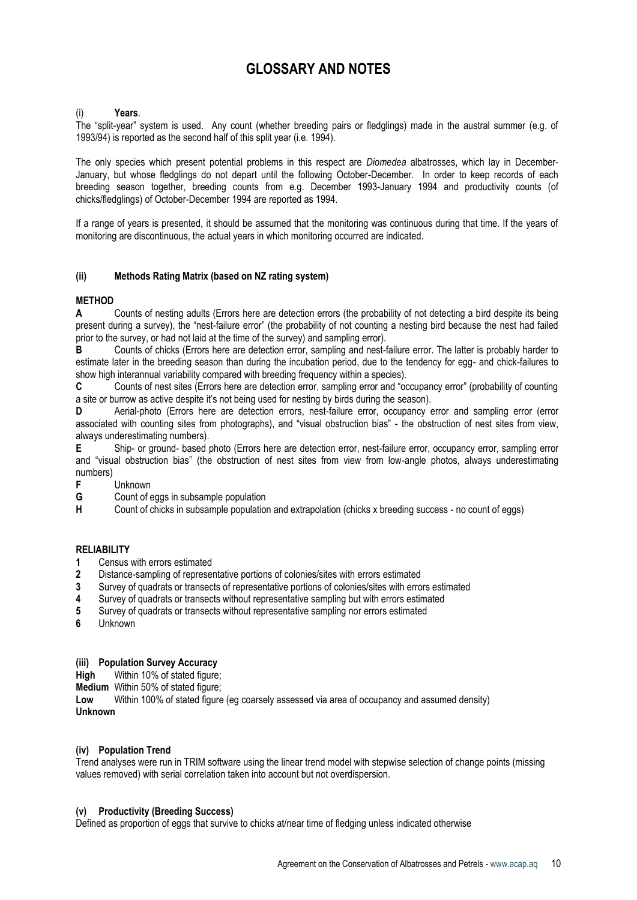# **GLOSSARY AND NOTES**

#### <span id="page-9-1"></span>(i) **Years**.

The "split-year" system is used. Any count (whether breeding pairs or fledglings) made in the austral summer (e.g. of 1993/94) is reported as the second half of this split year (i.e. 1994).

The only species which present potential problems in this respect are *Diomedea* albatrosses, which lay in December-January, but whose fledglings do not depart until the following October-December. In order to keep records of each breeding season together, breeding counts from e.g. December 1993-January 1994 and productivity counts (of chicks/fledglings) of October-December 1994 are reported as 1994.

If a range of years is presented, it should be assumed that the monitoring was continuous during that time. If the years of monitoring are discontinuous, the actual years in which monitoring occurred are indicated.

#### <span id="page-9-0"></span>**(ii) Methods Rating Matrix (based on NZ rating system)**

# **METHOD**

**A** Counts of nesting adults (Errors here are detection errors (the probability of not detecting a bird despite its being present during a survey), the "nest-failure error" (the probability of not counting a nesting bird because the nest had failed prior to the survey, or had not laid at the time of the survey) and sampling error).

**B** Counts of chicks (Errors here are detection error, sampling and nest-failure error. The latter is probably harder to estimate later in the breeding season than during the incubation period, due to the tendency for egg- and chick-failures to show high interannual variability compared with breeding frequency within a species).

**C** Counts of nest sites (Errors here are detection error, sampling error and "occupancy error" (probability of counting a site or burrow as active despite it's not being used for nesting by birds during the season).

**D** Aerial-photo (Errors here are detection errors, nest-failure error, occupancy error and sampling error (error associated with counting sites from photographs), and "visual obstruction bias" - the obstruction of nest sites from view, always underestimating numbers).

**E** Ship- or ground- based photo (Errors here are detection error, nest-failure error, occupancy error, sampling error and "visual obstruction bias" (the obstruction of nest sites from view from low-angle photos, always underestimating numbers)

- **F** Unknown
- **G** Count of eggs in subsample population<br> **H** Count of chicks in subsample population

**H** Count of chicks in subsample population and extrapolation (chicks x breeding success - no count of eggs)

#### **RELIABILITY**

- **1** Census with errors estimated
- **2** Distance-sampling of representative portions of colonies/sites with errors estimated
- **3** Survey of quadrats or transects of representative portions of colonies/sites with errors estimated
- **4** Survey of quadrats or transects without representative sampling but with errors estimated
- **5** Survey of quadrats or transects without representative sampling nor errors estimated
- **6** Unknown

# <span id="page-9-2"></span>**(iii) Population Survey Accuracy**

**High** Within 10% of stated figure:

**Medium** Within 50% of stated figure:

**Low** Within 100% of stated figure (eg coarsely assessed via area of occupancy and assumed density) **Unknown**

#### **(iv) Population Trend**

Trend analyses were run in TRIM software using the linear trend model with stepwise selection of change points (missing values removed) with serial correlation taken into account but not overdispersion.

#### **(v) Productivity (Breeding Success)**

Defined as proportion of eggs that survive to chicks at/near time of fledging unless indicated otherwise